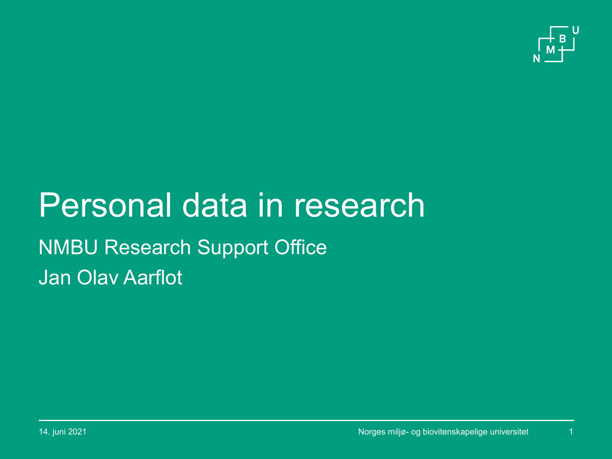

# Personal data in research Jan Olav Aarflot NMBU Research Support Office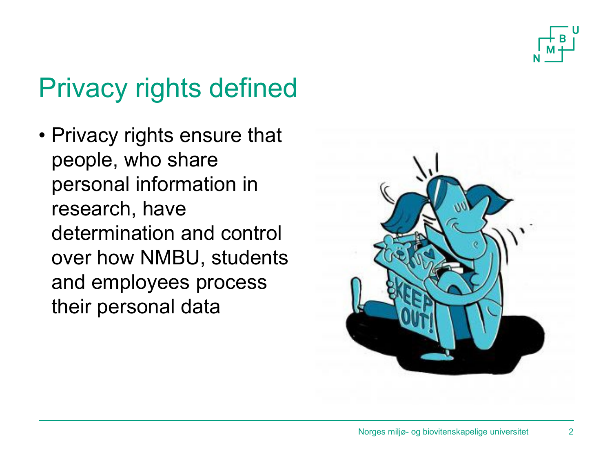

## Privacy rights defined

• Privacy rights ensure that people, who share personal information in research, have determination and control over how NMBU, students and employees process their personal data

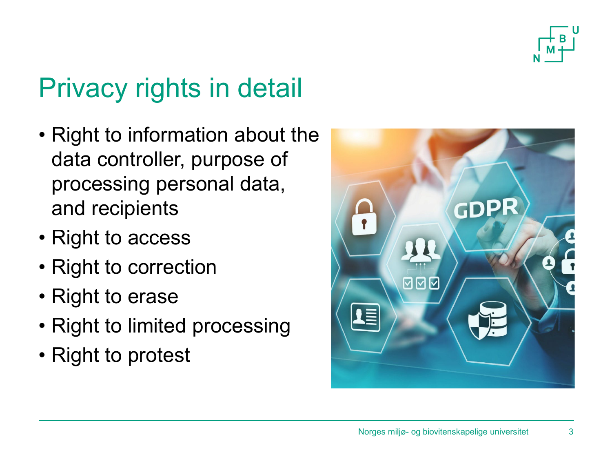

# Privacy rights in detail

- Right to information about the data controller, purpose of processing personal data, and recipients
- Right to access
- Right to correction
- Right to erase
- Right to limited processing
- Right to protest

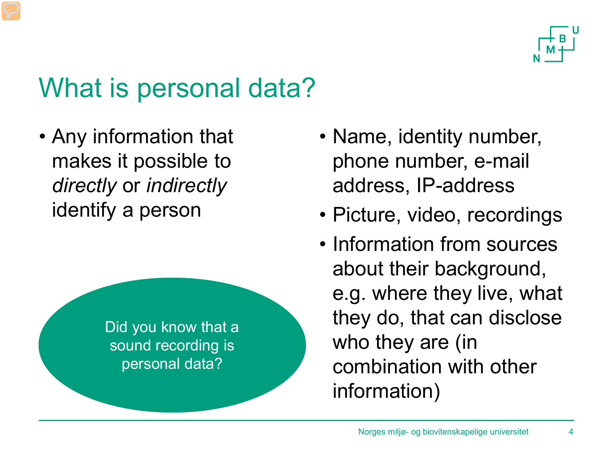

#### What is personal data?

• Any information that makes it possible to *directly* or *indirectly* identify a person



- Name, identity number, phone number, e-mail address, IP-address
- Picture, video, recordings
- Information from sources about their background, e.g. where they live, what they do, that can disclose who they are (in combination with other information)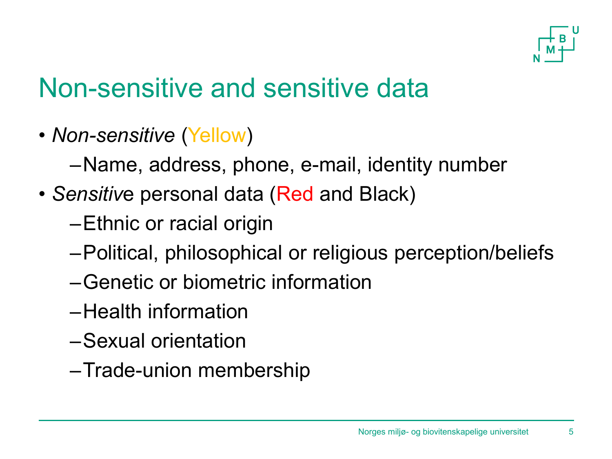

#### Non-sensitive and sensitive data

- *Non-sensitive* (Yellow)
	- –Name, address, phone, e-mail, identity number
- *Sensitiv*e personal data (Red and Black)
	- –Ethnic or racial origin
	- –Political, philosophical or religious perception/beliefs
	- –Genetic or biometric information
	- –Health information
	- –Sexual orientation
	- –Trade-union membership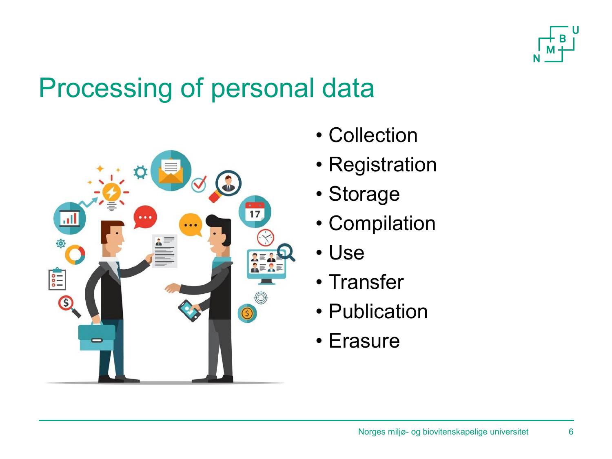

#### Processing of personal data



- Collection
- Registration
- Storage
- Compilation
- Use
- Transfer
- Publication
- Erasure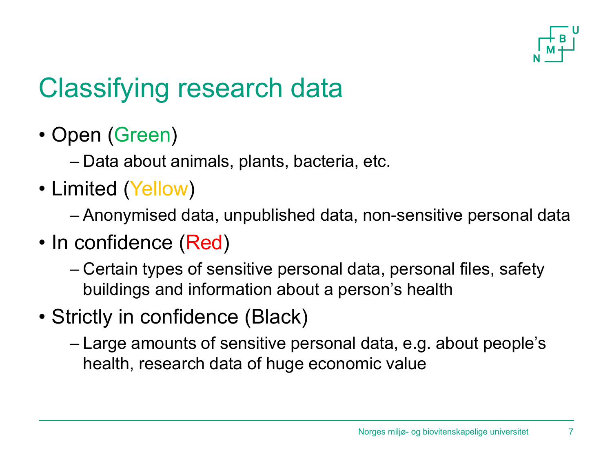

# Classifying research data

• Open (Green)

– Data about animals, plants, bacteria, etc.

• Limited (Yellow)

– Anonymised data, unpublished data, non-sensitive personal data

- In confidence (Red)
	- Certain types of sensitive personal data, personal files, safety buildings and information about a person's health
- Strictly in confidence (Black)
	- Large amounts of sensitive personal data, e.g. about people's health, research data of huge economic value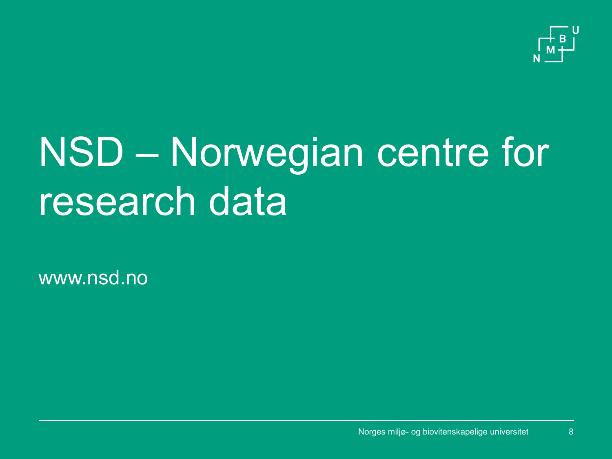

# NSD – Norwegian centre for research data

www.nsd.no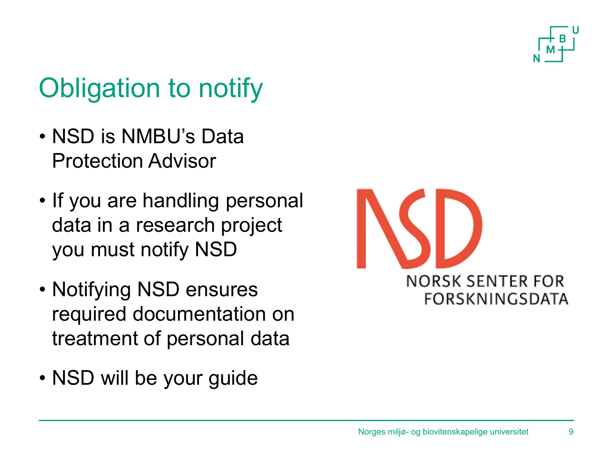

# Obligation to notify

- NSD is NMBU's Data Protection Advisor
- If you are handling personal data in a research project you must notify NSD
- Notifying NSD ensures required documentation on treatment of personal data
- NSD will be your guide

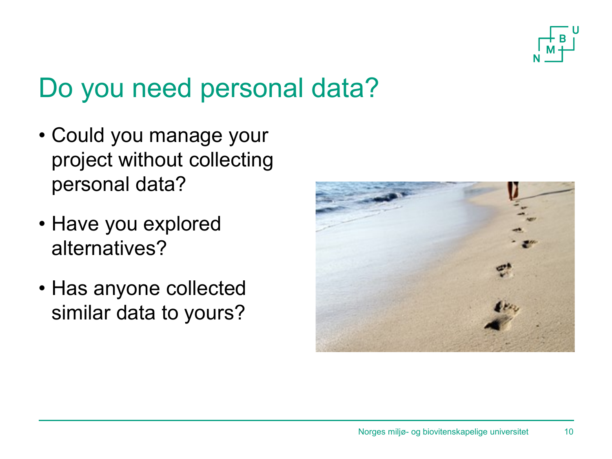

## Do you need personal data?

- Could you manage your project without collecting personal data?
- Have you explored alternatives?
- Has anyone collected similar data to yours?

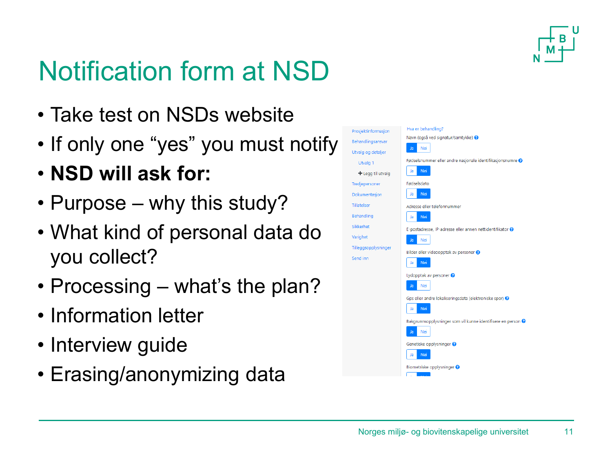

# Notification form at NSD

- Take test on NSDs website
- If only one "yes" you must notify
- **NSD will ask for:**
- Purpose why this study?
- What kind of personal data do you collect?
- Processing what's the plan?
- Information letter
- Interview guide
- Erasing/anonymizing data

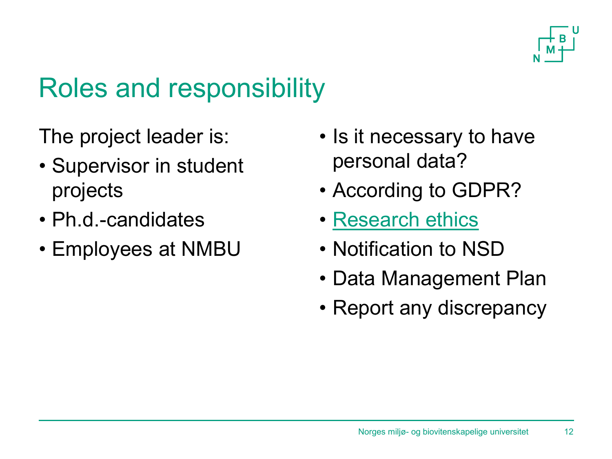

## Roles and responsibility

The project leader is:

- Supervisor in student projects
- Ph.d.-candidates
- Employees at NMBU
- Is it necessary to have personal data?
- According to GDPR?
- [Research ethics](https://www.forskningsetikk.no/)
- Notification to NSD
- Data Management Plan
- Report any discrepancy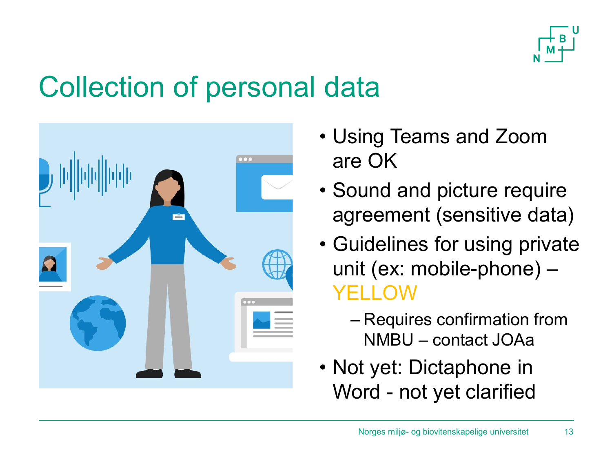

## Collection of personal data



- Using Teams and Zoom are OK
- Sound and picture require agreement (sensitive data)
- Guidelines for using private unit (ex: mobile-phone) – YELLOW
	- Requires confirmation from NMBU – contact JOAa
- Not yet: Dictaphone in Word - not yet clarified